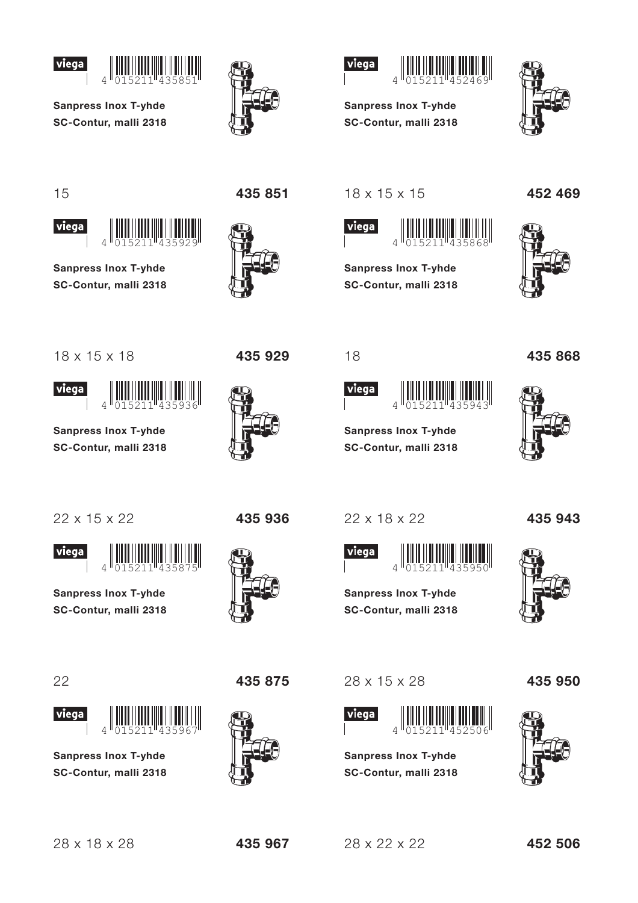



**Sanpress Inox T-yhde** SC-Contur, malli 2318

 $\overline{4}$ 





**Sanpress Inox T-yhde** SC-Contur, malli 2318



15

viega



**Sanpress Inox T-yhde** SC-Contur, malli 2318

 $\overline{A}$ 



435 929

 $18 \times 15 \times 15$ 



**Sanpress Inox T-yhde** SC-Contur, malli 2318





18 x 15 x 18





**Sanpress Inox T-yhde** SC-Contur, malli 2318



**Viega** 

**Sanpress Inox T-yhde** SC-Contur, malli 2318





**Sanpress Inox T-yhde** SC-Contur. malli 2318





28 x 15 x 28



**Sanpress Inox T-yhde** SC-Contur, malli 2318 435 868





435 943



435 950



435 967

 $28 \times 22 \times 22$ 



435 936

18

viega







 $\overline{\Lambda}$ 

**Sanpress Inox T-yhde** 

SC-Contur, malli 2318

 $\Delta$ 

**Sanpress Inox T-yhde** 

SC-Contur, malli 2318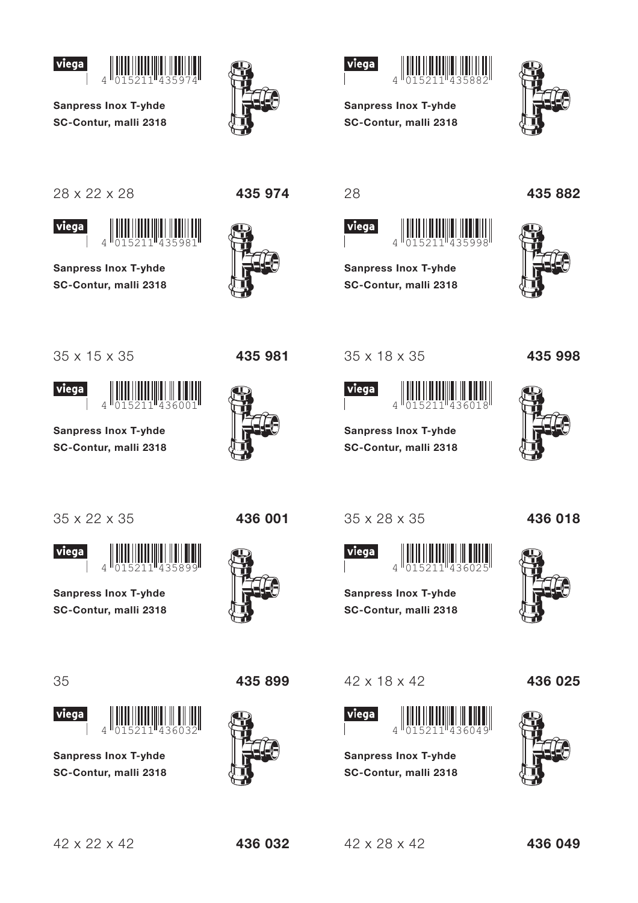



**Sanpress Inox T-yhde** SC-Contur, malli 2318



435 974



**Sanpress Inox T-yhde** 

SC-Contur, malli 2318

 $\overline{A}$ 

**Sanpress Inox T-yhde** 

SC-Contur, malli 2318

**Sanpress Inox T-yhde** 

SC-Contur, malli 2318

35 x 28 x 35

 $\overline{\Lambda}$ 

**Sanpress Inox T-yhde** 

SC-Contur, malli 2318

viega

35 x 18 x 35

viega

435998

28

viega



viega



**Sanpress Inox T-yhde** SC-Contur, malli 2318



435 981





**Sanpress Inox T-yhde** SC-Contur, malli 2318

35 x 22 x 35

viega



**Sanpress Inox T-yhde** SC-Contur, malli 2318





**Sanpress Inox T-yhde** SC-Contur. malli 2318



436 001



42 x 18 x 42



**Sanpress Inox T-yhde** SC-Contur, malli 2318





435 998



436 018



436 025



436 032

 $42 \times 28 \times 42$